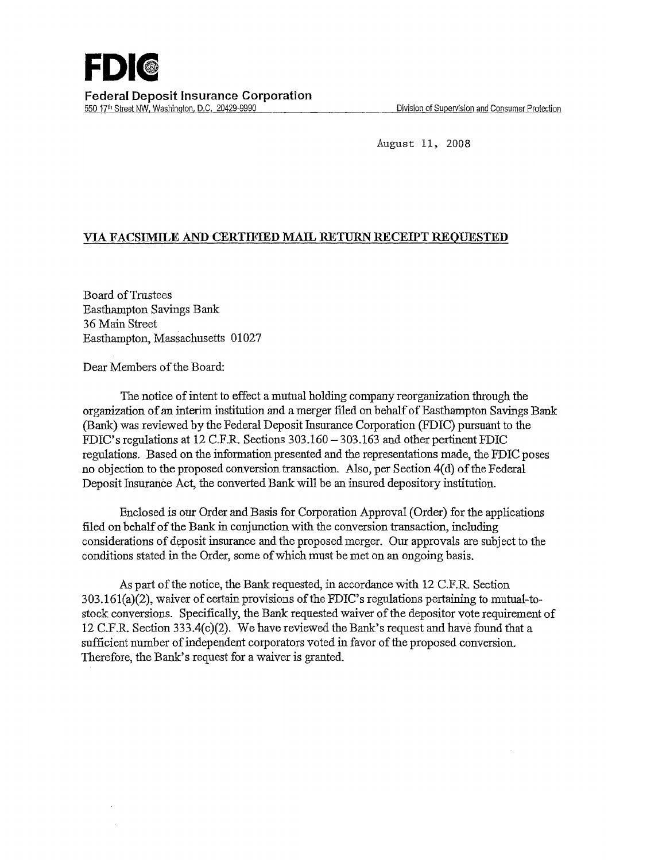August 11, 2008

## VIA FACSIMILE AND CERTIFIED MAIL RETURN RECEIPT REQUESTED

Board of Trustees Easthampton Savings Bank 36 Main Street Easthampton, Massachusetts 01027

Dear Members of the Board:

The notice of intent to effect a mutual holding company reorganization through the organization of an. interim institution and a merger filed on behalf of Easthampton Savings Bank (Bank) was reviewed by the Federal Deposit Insurance Corporation (FDIC) pursuant to the FDIC's regulations at 12 C.F.R Sections 303.160 — 303.163 and other pertinent FDIC regulations. Based on the infozmation presented and the representations made, the FDIC poses no objection to the proposed conversion transaction. Also, per Section 4(d) of the Federal Deposit Insurance Act, the converted Bank will be an insured depository institution.

Enclosed is our Order and Basis for Corporation Approval (Order) for the applications filed on behalf of the Bank in conjunction with the conversion transaction, including considerations of deposit insurance and the proposed merger. Oux approvals are subject to the conditions stated in the Order, some of which must be met on an ongoing basis.

As part of the notice, the Bank requested, in accordance with 12 C.F.R. Section  $303.161(a)(2)$ , waiver of certain provisions of the FDIC's regulations pertaining to mutual-tostock conversions. Specifically, the Bank requested waiver of the depositor vote requirement of 12 C.F.R Section 333.4(c)(2). We have reviewed the Bank's request and have found that a sufficient number of independent corporators voted in favor of the proposed conversion. Therefore, the Bank's request for a waiver is granted.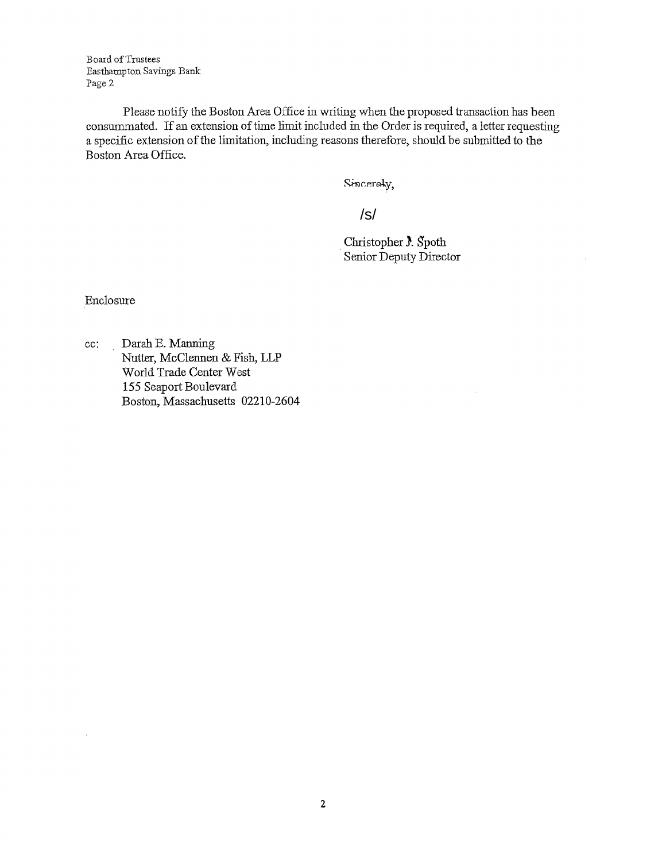Board of Trustees Easthampton Savings Bank Page 2

Please notify the Boston Area Office in writing when fihe proposed transaction has been consummated. If an extension of time limit included in the Order is required, a letter requesting a specific extension of the limitation, including reasons therefore, should be submitted to the Boston Area Office.

Sinceraly,

/s/

Christopher J. Spoth Senior Deputy Director

Enclosure

cc: Darah E. Manning Nutter, McClennen & Fish, LLP World Trade Center West I55 Seaport Boulevard Boston, Massachusetts 02210-2604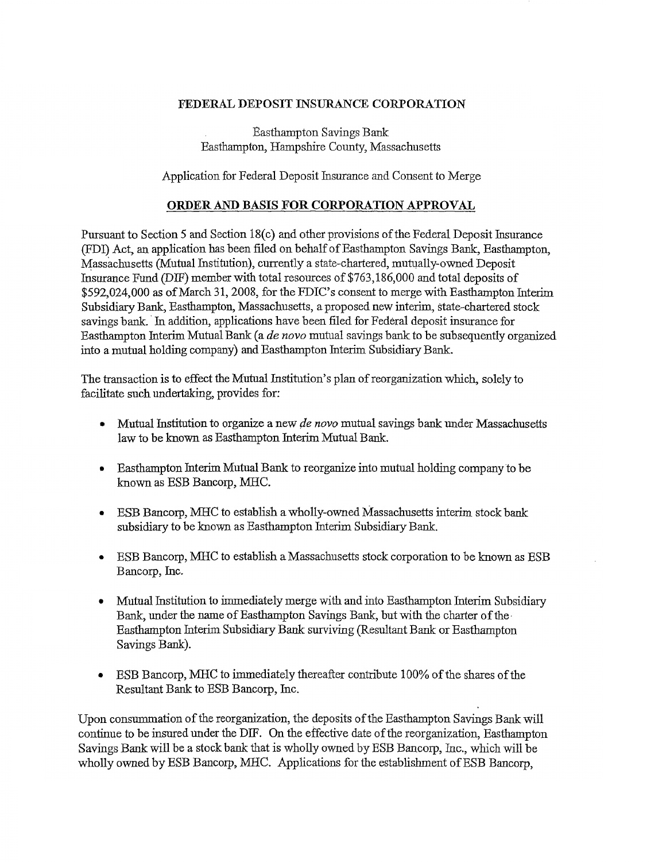## FEDERAL DEPOSIT INSURANCE CORPORATION

Easthampton Savings Bank Easthampton, Hampshire County, Massachusetts

Application for Federal Deposit Insurance and Consent to Merge

## ORDER AND BASIS FOR CORPORATION APPROVAL

Pursuant to Section S and Section 18(c) and other provisions of the Federal Deposit Insurance (FDA Act, an application has been filed on behalf of Easthampton Savings Bank, Easthampton, Massachusetts (Mutual Institution), currently astate-chartered, mutually-owned Deposit Insurance Fund (D1F) member with total resources of \$763,186,000 and total deposits of \$592,024,000 as of March 31, 2008, for the FDIC's consent to merge with Easthampton Interim Subsidiary Bank, Easthampton, Massachusetts, a proposed new interim, state-chartered stock savings bank. In addition, applications have been filed for Federal deposit insurance for Easthampton Interim Mutual Bank (a de novo mutual savings bank to be subsequently organized into a mutual holding company} and Easthampton Interim Subsidiary Bank.

The transaction is to effect the Mutual Institution's plan of reorganization which, solely to facilitate such undertaking, provides for:

- $\bullet$  Mutual Institution to organize a new *de novo* mutual savings bank under Massachusetts law to be known as Easthampton Interim Mutual Bank.
- Easthampton Interim Mutual Bank to reorganize into mutual holding company to be known as ESB Bancorp, MHC.
- ESB Bancorp, MHC to establish awholly-owned Massachusetts interim stock bank subsidiary to be known as Easthampton Interim Subsidiary Bank.
- ESB Bancorp, MHC to establish aMassachusetts stock corporation to be known as ESB Bancorp, Inc.
- Mutual Institution to immediately merge with and into Easthampton Interim Subsidiary Bank, under the name of Easthampton Savings Bank, but with the charter of the Easthampton Interim Subsidiary Bank surviving (Resultant Bank or Easthampton Savings Bank).
- ESB Bancorp, MHC to unmediately thereafter contribute 100% of the shares of the Resultant Bank. to ESB Bancorp, Inc.

Upon consummation of the reorganization, the deposits of the Easthampton Savings Bank will continue to be insured under the DIF. On the effective date of the reorganization, Easthampton Savings Bank will be a stock bank that is wholly owned by ESB Bancorp, Inc., which will be wholly owned by ESB Bancorp, MHC. Applications for the establishment of ESB Bancorp,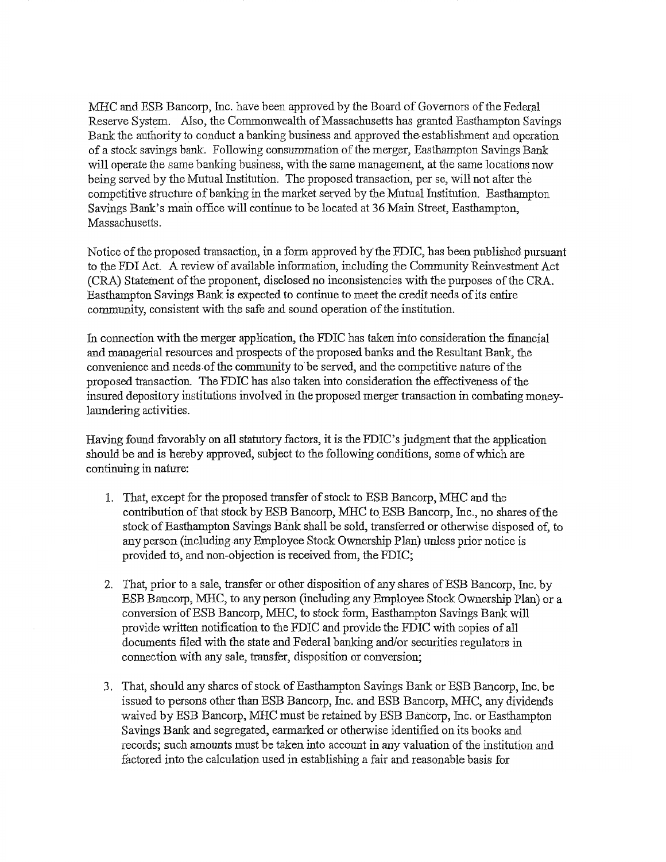MHC and ESB Bancorp, Inc. have been approved by the Board of Governors of the Federal Reserve System. Also, the Commonwealth of Massachusetts has granted Easthampton Savings Bask the authority to conduct a banking business and approved the establishment and operation of a stock savings bank. Following consummation of the mezger, Easthampton Savings Bank will operate the same banking business, with the same management, at the same locations now being served by the Mutual Institution. The proposed transaction, per se, will not alter the competitive structure of banking in the market served by the Mutual Institution. Easthampton Savings Bank's main office wi11 continue to be located at 36 Main Street, Easthampton, Massachusetts.

Notice of the proposed transaction, in a form approved by the FDIC, has been published pursuant to the FDI Act. A review of available information, including the Community Reinvestment Act (CZ2A) Statement of the pzoponent, disclosed no inconsistencies with the purposes of the CRA. Easthampton Savings Bank is expected to continue to meet the credit needs of its entire community, consistent with the safe and sound operation of the institution.

In connection with the merger application, the FDIC has taken into consideration the financial and managerial resources and prospects of the proposed banks and the Resultant Bank, the convenience and needs of the community to be served, and the competitive nature of the proposed transaction. The FDIC has also taken into consideration the effectiveness of the insured depository institutions involved in the proposed merger transaction in combating moneylaundering activities.

Having found favorably on all statutory factors, it is the FDIC's judgment that the application should be and is hereby approved, subject to the following conditions, some of which are continuing in nature:

- 1. That, except for the proposed transfer of stock to ESB Bancorp, MHC and the contribution of that stock by ESB Bancorp, MHC to ESB Bancorp, Inc., no shares of the stock of Easthampton Savings Bank shall be sold, transferred or otherwise disposed of, to any person (including any Employee Stock Ownership Plan) unless prior notice is provided to, and non-objection is received from, the FDIC;
- 2. That, prior to a sale, transfer or other disposition of any shares of EBB Bancorp, Inc. by ESB Bancorp, MHC, to any person (including any Employee Stock Ownership Plan) ox a conversion of ESB Bancorp, MHC, to stock form, Easthampton Savings Bank will provide written notification to the FDIC and provide the FDIC with copies of all documents filed with the state and Federal banking and/or securities regulators in connection with any sale, transfer, disposition or conversion;
- 3. That, should any shares of stock of Easthampton Savings Bank or ESB Bancorp, Inc. be issued to persons other than ESB Bancorp, Inc, and ESB Bancorp, MHC, any dividends waived by ESB Bancorp, MHC must be retained by ESB Bancorp, Inc, or Easthampton Savings Bank and segregated, earmarked or otherwise identified on its books and records; such amounts must be taken into account in any'valuation of the institution and factored into the calculation used in establishing a fair and reasonable basis for